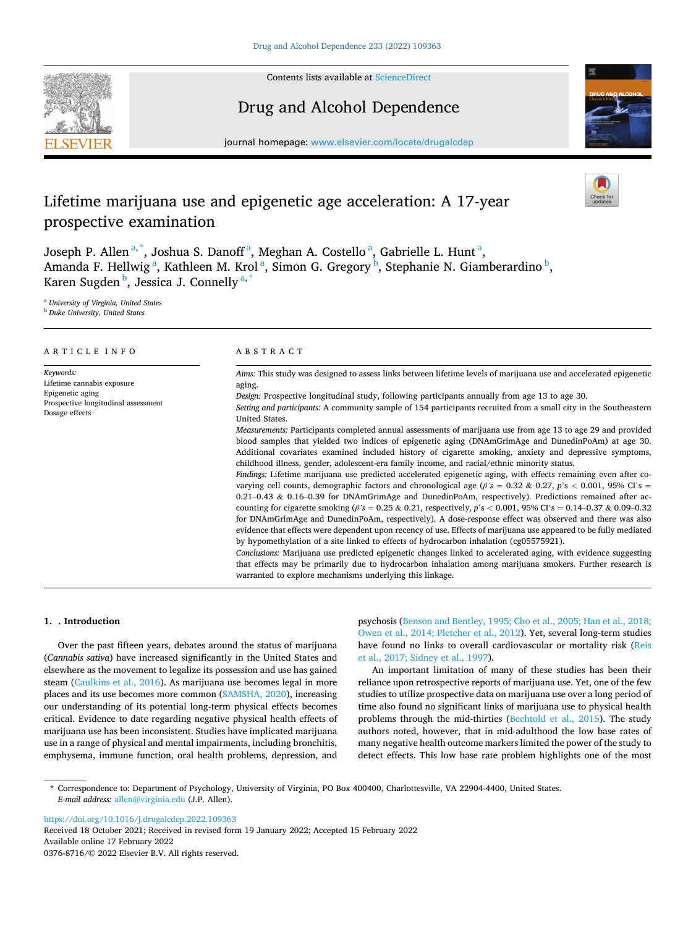

Contents lists available at [ScienceDirect](www.sciencedirect.com/science/journal/03768716)

# Drug and Alcohol Dependence

journal homepage: [www.elsevier.com/locate/drugalcdep](https://www.elsevier.com/locate/drugalcdep) 



# Lifetime marijuana use and epigenetic age acceleration: A 17-year prospective examination

Joseph P. Allen<sup>a,\*</sup>, Joshua S. Danoff<sup>a</sup>, Meghan A. Costello<sup>a</sup>, Gabrielle L. Hunt<sup>a</sup>, Amanda F. Hellwig<sup>a</sup>, Kathleen M. Krol<sup>a</sup>, Simon G. Gregory<sup>b</sup>, Stephanie N. Giamberardino<sup>b</sup>, Karen Sugden <sup>b</sup>, Jessica J. Connelly <sup>a,\*</sup>

<sup>a</sup> *University of Virginia, United States* 

<sup>b</sup> *Duke University, United States* 

| ARTICLE INFO                                                                                                         | ABSTRACT                                                                                                                                                                                                                                                                                                                                                                                                                                                                                                                                                                                                                                                                                                                                                                                                                                                                                                                                                                                                                                                                                                                                                                                                                                                                                                                                                                                                                                                                                                                                                                                                                                                                                                                                                                                                                                                                                           |  |  |
|----------------------------------------------------------------------------------------------------------------------|----------------------------------------------------------------------------------------------------------------------------------------------------------------------------------------------------------------------------------------------------------------------------------------------------------------------------------------------------------------------------------------------------------------------------------------------------------------------------------------------------------------------------------------------------------------------------------------------------------------------------------------------------------------------------------------------------------------------------------------------------------------------------------------------------------------------------------------------------------------------------------------------------------------------------------------------------------------------------------------------------------------------------------------------------------------------------------------------------------------------------------------------------------------------------------------------------------------------------------------------------------------------------------------------------------------------------------------------------------------------------------------------------------------------------------------------------------------------------------------------------------------------------------------------------------------------------------------------------------------------------------------------------------------------------------------------------------------------------------------------------------------------------------------------------------------------------------------------------------------------------------------------------|--|--|
| Keywords:<br>Lifetime cannabis exposure<br>Epigenetic aging<br>Prospective longitudinal assessment<br>Dosage effects | Aims: This study was designed to assess links between lifetime levels of marijuana use and accelerated epigenetic<br>aging.<br>Design: Prospective longitudinal study, following participants annually from age 13 to age 30.<br>Setting and participants: A community sample of 154 participants recruited from a small city in the Southeastern<br>United States.<br>Measurements: Participants completed annual assessments of marijuana use from age 13 to age 29 and provided<br>blood samples that yielded two indices of epigenetic aging (DNAmGrimAge and DunedinPoAm) at age 30.<br>Additional covariates examined included history of cigarette smoking, anxiety and depressive symptoms,<br>childhood illness, gender, adolescent-era family income, and racial/ethnic minority status.<br>Findings: Lifetime marijuana use predicted accelerated epigenetic aging, with effects remaining even after co-<br>varying cell counts, demographic factors and chronological age ( $\beta$ 's = 0.32 & 0.27, p's < 0.001, 95% CI's =<br>$0.21-0.43$ & $0.16-0.39$ for DNAmGrimAge and DunedinPoAm, respectively). Predictions remained after ac-<br>counting for cigarette smoking $(\beta' s = 0.25 \& 0.21$ , respectively, p's < 0.001, 95% CI's = 0.14–0.37 & 0.09–0.32<br>for DNAmGrimAge and DunedinPoAm, respectively). A dose-response effect was observed and there was also<br>evidence that effects were dependent upon recency of use. Effects of marijuana use appeared to be fully mediated<br>by hypomethylation of a site linked to effects of hydrocarbon inhalation (cg05575921).<br>Conclusions: Marijuana use predicted epigenetic changes linked to accelerated aging, with evidence suggesting<br>that effects may be primarily due to hydrocarbon inhalation among marijuana smokers. Further research is<br>warranted to explore mechanisms underlying this linkage. |  |  |

# **1. . Introduction**

Over the past fifteen years, debates around the status of marijuana (*Cannabis sativa*) have increased significantly in the United States and elsewhere as the movement to legalize its possession and use has gained steam ([Caulkins et al., 2016](#page-6-0)). As marijuana use becomes legal in more places and its use becomes more common ([SAMSHA, 2020](#page-7-0)), increasing our understanding of its potential long-term physical effects becomes critical. Evidence to date regarding negative physical health effects of marijuana use has been inconsistent. Studies have implicated marijuana use in a range of physical and mental impairments, including bronchitis, emphysema, immune function, oral health problems, depression, and psychosis ([Benson and Bentley, 1995; Cho et al., 2005; Han et al., 2018;](#page-6-0)  [Owen et al., 2014; Pletcher et al., 2012\)](#page-6-0). Yet, several long-term studies have found no links to overall cardiovascular or mortality risk (Reis [et al., 2017; Sidney et al., 1997\)](#page-7-0).

An important limitation of many of these studies has been their reliance upon retrospective reports of marijuana use. Yet, one of the few studies to utilize prospective data on marijuana use over a long period of time also found no significant links of marijuana use to physical health problems through the mid-thirties [\(Bechtold et al., 2015](#page-6-0)). The study authors noted, however, that in mid-adulthood the low base rates of many negative health outcome markers limited the power of the study to detect effects. This low base rate problem highlights one of the most

<https://doi.org/10.1016/j.drugalcdep.2022.109363>

Available online 17 February 2022 0376-8716/© 2022 Elsevier B.V. All rights reserved. Received 18 October 2021; Received in revised form 19 January 2022; Accepted 15 February 2022

<sup>\*</sup> Correspondence to: Department of Psychology, University of Virginia, PO Box 400400, Charlottesville, VA 22904-4400, United States. *E-mail address:* [allen@virginia.edu](mailto:allen@virginia.edu) (J.P. Allen).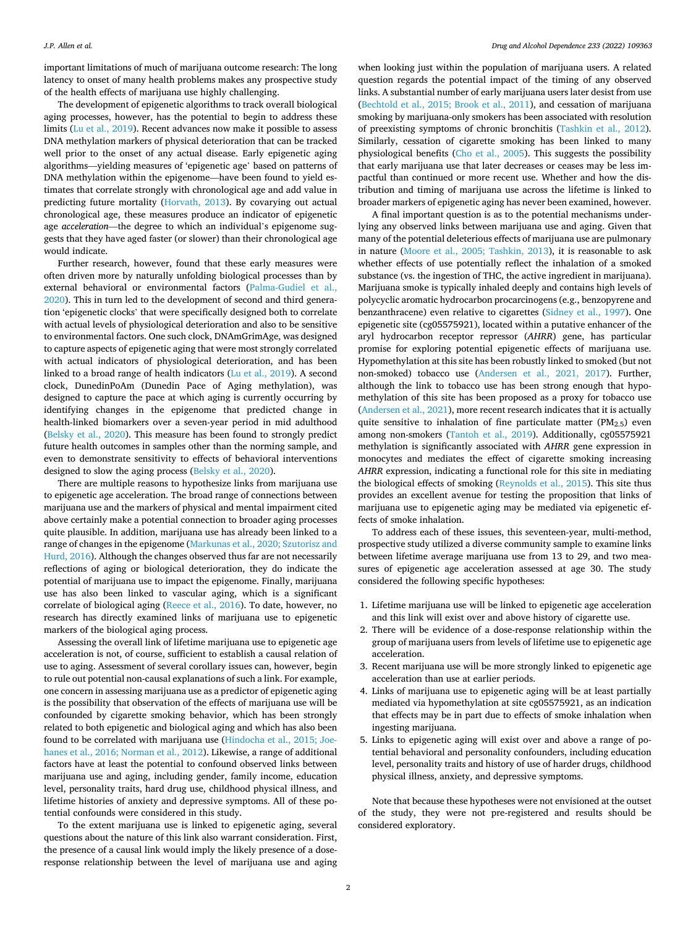important limitations of much of marijuana outcome research: The long latency to onset of many health problems makes any prospective study of the health effects of marijuana use highly challenging.

The development of epigenetic algorithms to track overall biological aging processes, however, has the potential to begin to address these limits ([Lu et al., 2019\)](#page-6-0). Recent advances now make it possible to assess DNA methylation markers of physical deterioration that can be tracked well prior to the onset of any actual disease. Early epigenetic aging algorithms—yielding measures of 'epigenetic age' based on patterns of DNA methylation within the epigenome—have been found to yield estimates that correlate strongly with chronological age and add value in predicting future mortality ([Horvath, 2013](#page-6-0)). By covarying out actual chronological age, these measures produce an indicator of epigenetic age *acceleration*—the degree to which an individual's epigenome suggests that they have aged faster (or slower) than their chronological age would indicate.

Further research, however, found that these early measures were often driven more by naturally unfolding biological processes than by external behavioral or environmental factors ([Palma-Gudiel et al.,](#page-7-0)  [2020\)](#page-7-0). This in turn led to the development of second and third generation 'epigenetic clocks' that were specifically designed both to correlate with actual levels of physiological deterioration and also to be sensitive to environmental factors. One such clock, DNAmGrimAge, was designed to capture aspects of epigenetic aging that were most strongly correlated with actual indicators of physiological deterioration, and has been linked to a broad range of health indicators ([Lu et al., 2019](#page-6-0)). A second clock, DunedinPoAm (Dunedin Pace of Aging methylation), was designed to capture the pace at which aging is currently occurring by identifying changes in the epigenome that predicted change in health-linked biomarkers over a seven-year period in mid adulthood ([Belsky et al., 2020](#page-6-0)). This measure has been found to strongly predict future health outcomes in samples other than the norming sample, and even to demonstrate sensitivity to effects of behavioral interventions designed to slow the aging process ([Belsky et al., 2020\)](#page-6-0).

There are multiple reasons to hypothesize links from marijuana use to epigenetic age acceleration. The broad range of connections between marijuana use and the markers of physical and mental impairment cited above certainly make a potential connection to broader aging processes quite plausible. In addition, marijuana use has already been linked to a range of changes in the epigenome ([Markunas et al., 2020; Szutorisz and](#page-6-0)  [Hurd, 2016\)](#page-6-0). Although the changes observed thus far are not necessarily reflections of aging or biological deterioration, they do indicate the potential of marijuana use to impact the epigenome. Finally, marijuana use has also been linked to vascular aging, which is a significant correlate of biological aging [\(Reece et al., 2016\)](#page-7-0). To date, however, no research has directly examined links of marijuana use to epigenetic markers of the biological aging process.

Assessing the overall link of lifetime marijuana use to epigenetic age acceleration is not, of course, sufficient to establish a causal relation of use to aging. Assessment of several corollary issues can, however, begin to rule out potential non-causal explanations of such a link. For example, one concern in assessing marijuana use as a predictor of epigenetic aging is the possibility that observation of the effects of marijuana use will be confounded by cigarette smoking behavior, which has been strongly related to both epigenetic and biological aging and which has also been found to be correlated with marijuana use ([Hindocha et al., 2015; Joe](#page-6-0)[hanes et al., 2016; Norman et al., 2012\)](#page-6-0). Likewise, a range of additional factors have at least the potential to confound observed links between marijuana use and aging, including gender, family income, education level, personality traits, hard drug use, childhood physical illness, and lifetime histories of anxiety and depressive symptoms. All of these potential confounds were considered in this study.

To the extent marijuana use is linked to epigenetic aging, several questions about the nature of this link also warrant consideration. First, the presence of a causal link would imply the likely presence of a doseresponse relationship between the level of marijuana use and aging

when looking just within the population of marijuana users. A related question regards the potential impact of the timing of any observed links. A substantial number of early marijuana users later desist from use ([Bechtold et al., 2015; Brook et al., 2011\)](#page-6-0), and cessation of marijuana smoking by marijuana-only smokers has been associated with resolution of preexisting symptoms of chronic bronchitis [\(Tashkin et al., 2012](#page-7-0)). Similarly, cessation of cigarette smoking has been linked to many physiological benefits [\(Cho et al., 2005\)](#page-6-0). This suggests the possibility that early marijuana use that later decreases or ceases may be less impactful than continued or more recent use. Whether and how the distribution and timing of marijuana use across the lifetime is linked to broader markers of epigenetic aging has never been examined, however.

A final important question is as to the potential mechanisms underlying any observed links between marijuana use and aging. Given that many of the potential deleterious effects of marijuana use are pulmonary in nature ([Moore et al., 2005; Tashkin, 2013\)](#page-6-0), it is reasonable to ask whether effects of use potentially reflect the inhalation of a smoked substance (vs. the ingestion of THC, the active ingredient in marijuana). Marijuana smoke is typically inhaled deeply and contains high levels of polycyclic aromatic hydrocarbon procarcinogens (e.g., benzopyrene and benzanthracene) even relative to cigarettes [\(Sidney et al., 1997](#page-7-0)). One epigenetic site (cg05575921), located within a putative enhancer of the aryl hydrocarbon receptor repressor (*AHRR*) gene, has particular promise for exploring potential epigenetic effects of marijuana use. Hypomethylation at this site has been robustly linked to smoked (but not non-smoked) tobacco use ([Andersen et al., 2021, 2017\)](#page-6-0). Further, although the link to tobacco use has been strong enough that hypomethylation of this site has been proposed as a proxy for tobacco use ([Andersen et al., 2021\)](#page-6-0), more recent research indicates that it is actually quite sensitive to inhalation of fine particulate matter ( $PM<sub>2.5</sub>$ ) even among non-smokers ([Tantoh et al., 2019\)](#page-7-0). Additionally, cg05575921 methylation is significantly associated with *AHRR* gene expression in monocytes and mediates the effect of cigarette smoking increasing *AHRR* expression, indicating a functional role for this site in mediating the biological effects of smoking [\(Reynolds et al., 2015\)](#page-7-0). This site thus provides an excellent avenue for testing the proposition that links of marijuana use to epigenetic aging may be mediated via epigenetic effects of smoke inhalation.

To address each of these issues, this seventeen-year, multi-method, prospective study utilized a diverse community sample to examine links between lifetime average marijuana use from 13 to 29, and two measures of epigenetic age acceleration assessed at age 30. The study considered the following specific hypotheses:

- 1. Lifetime marijuana use will be linked to epigenetic age acceleration and this link will exist over and above history of cigarette use.
- 2. There will be evidence of a dose-response relationship within the group of marijuana users from levels of lifetime use to epigenetic age acceleration.
- 3. Recent marijuana use will be more strongly linked to epigenetic age acceleration than use at earlier periods.
- 4. Links of marijuana use to epigenetic aging will be at least partially mediated via hypomethylation at site cg05575921, as an indication that effects may be in part due to effects of smoke inhalation when ingesting marijuana.
- 5. Links to epigenetic aging will exist over and above a range of potential behavioral and personality confounders, including education level, personality traits and history of use of harder drugs, childhood physical illness, anxiety, and depressive symptoms.

Note that because these hypotheses were not envisioned at the outset of the study, they were not pre-registered and results should be considered exploratory.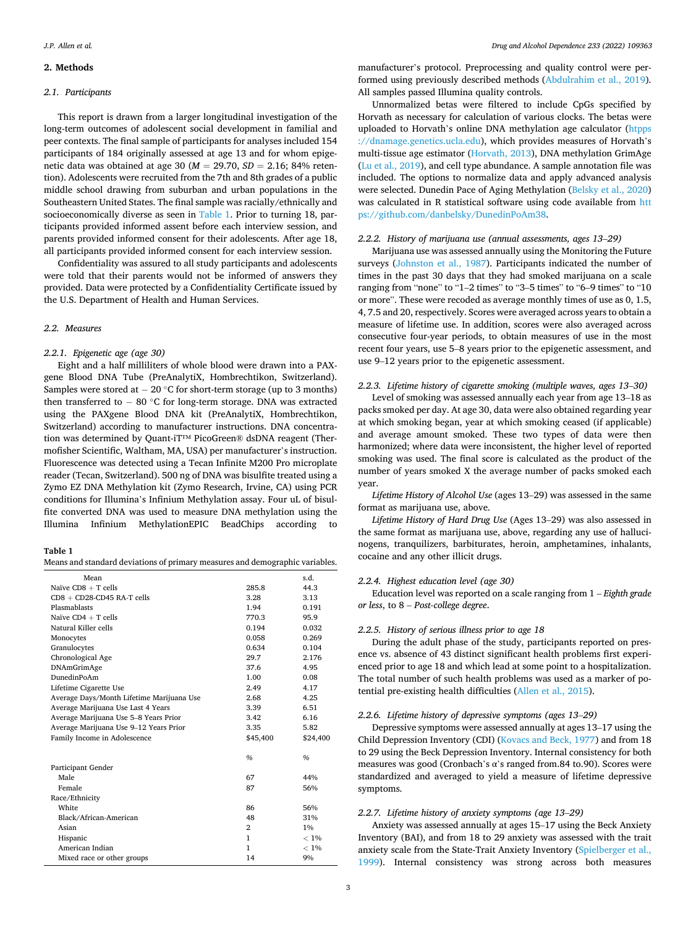# <span id="page-2-0"></span>**2. Methods**

#### *2.1. Participants*

This report is drawn from a larger longitudinal investigation of the long-term outcomes of adolescent social development in familial and peer contexts. The final sample of participants for analyses included 154 participants of 184 originally assessed at age 13 and for whom epigenetic data was obtained at age 30 (*M* = 29.70, *SD* = 2.16; 84% retention). Adolescents were recruited from the 7th and 8th grades of a public middle school drawing from suburban and urban populations in the Southeastern United States. The final sample was racially/ethnically and socioeconomically diverse as seen in Table 1. Prior to turning 18, participants provided informed assent before each interview session, and parents provided informed consent for their adolescents. After age 18, all participants provided informed consent for each interview session.

Confidentiality was assured to all study participants and adolescents were told that their parents would not be informed of answers they provided. Data were protected by a Confidentiality Certificate issued by the U.S. Department of Health and Human Services.

# *2.2. Measures*

# *2.2.1. Epigenetic age (age 30)*

Eight and a half milliliters of whole blood were drawn into a PAXgene Blood DNA Tube (PreAnalytiX, Hombrechtikon, Switzerland). Samples were stored at  $-20$  °C for short-term storage (up to 3 months) then transferred to − 80 ◦C for long-term storage. DNA was extracted using the PAXgene Blood DNA kit (PreAnalytiX, Hombrechtikon, Switzerland) according to manufacturer instructions. DNA concentration was determined by Quant-iT™ PicoGreen® dsDNA reagent (Thermofisher Scientific, Waltham, MA, USA) per manufacturer's instruction. Fluorescence was detected using a Tecan Infinite M200 Pro microplate reader (Tecan, Switzerland). 500 ng of DNA was bisulfite treated using a Zymo EZ DNA Methylation kit (Zymo Research, Irvine, CA) using PCR conditions for Illumina's Infinium Methylation assay. Four uL of bisulfite converted DNA was used to measure DNA methylation using the Illumina Infinium MethylationEPIC BeadChips according to

#### **Table 1**

Means and standard deviations of primary measures and demographic variables.

| Mean                                      |              | s.d.     |
|-------------------------------------------|--------------|----------|
| Naïve $CDS + T$ cells                     | 285.8        | 44.3     |
| $CD8 + CD28$ - $CD45$ RA-T cells          | 3.28         | 3.13     |
| Plasmablasts                              | 1.94         | 0.191    |
| Naïve $CD4 + T$ cells                     | 770.3        | 95.9     |
| Natural Killer cells                      | 0.194        | 0.032    |
| Monocytes                                 | 0.058        | 0.269    |
| Granulocytes                              | 0.634        | 0.104    |
| Chronological Age                         | 29.7         | 2.176    |
| DNAmGrimAge                               | 37.6         | 4.95     |
| DunedinPoAm                               | 1.00         | 0.08     |
| Lifetime Cigarette Use                    | 2.49         | 4.17     |
| Average Days/Month Lifetime Marijuana Use | 2.68         | 4.25     |
| Average Marijuana Use Last 4 Years        | 3.39         | 6.51     |
| Average Marijuana Use 5-8 Years Prior     | 3.42         | 6.16     |
| Average Marijuana Use 9-12 Years Prior    | 3.35         | 5.82     |
| Family Income in Adolescence              | \$45,400     | \$24,400 |
|                                           |              |          |
|                                           | $\%$         | $\%$     |
| Participant Gender                        |              |          |
| Male                                      | 67           | 44%      |
| Female                                    | 87           | 56%      |
| Race/Ethnicity                            |              |          |
| White                                     | 86           | 56%      |
| Black/African-American                    | 48           | 31%      |
| Asian                                     | 2            | $1\%$    |
| Hispanic                                  | $\mathbf{1}$ | $< 1\%$  |
| American Indian                           | $\mathbf{1}$ | $< 1\%$  |
| Mixed race or other groups                | 14           | 9%       |

manufacturer's protocol. Preprocessing and quality control were performed using previously described methods [\(Abdulrahim et al., 2019](#page-6-0)). All samples passed Illumina quality controls.

Unnormalized betas were filtered to include CpGs specified by Horvath as necessary for calculation of various clocks. The betas were uploaded to Horvath's online DNA methylation age calculator [\(htpps](http://htpps://dnamage.genetics.ucla.edu)  [://dnamage.genetics.ucla.edu](http://htpps://dnamage.genetics.ucla.edu)), which provides measures of Horvath's multi-tissue age estimator [\(Horvath, 2013\)](#page-6-0), DNA methylation GrimAge ([Lu et al., 2019\)](#page-6-0), and cell type abundance. A sample annotation file was included. The options to normalize data and apply advanced analysis were selected. Dunedin Pace of Aging Methylation ([Belsky et al., 2020\)](#page-6-0) was calculated in R statistical software using code available from [htt](https://github.com/danbelsky/DunedinPoAm38)  [ps://github.com/danbelsky/DunedinPoAm38](https://github.com/danbelsky/DunedinPoAm38).

#### *2.2.2. History of marijuana use (annual assessments, ages 13*–*29)*

Marijuana use was assessed annually using the Monitoring the Future surveys [\(Johnston et al., 1987](#page-6-0)). Participants indicated the number of times in the past 30 days that they had smoked marijuana on a scale ranging from "none" to "1–2 times" to "3–5 times" to "6–9 times" to "10 or more". These were recoded as average monthly times of use as 0, 1.5, 4, 7.5 and 20, respectively. Scores were averaged across years to obtain a measure of lifetime use. In addition, scores were also averaged across consecutive four-year periods, to obtain measures of use in the most recent four years, use 5–8 years prior to the epigenetic assessment, and use 9–12 years prior to the epigenetic assessment.

#### *2.2.3. Lifetime history of cigarette smoking (multiple waves, ages 13*–*30)*

Level of smoking was assessed annually each year from age 13–18 as packs smoked per day. At age 30, data were also obtained regarding year at which smoking began, year at which smoking ceased (if applicable) and average amount smoked. These two types of data were then harmonized; where data were inconsistent, the higher level of reported smoking was used. The final score is calculated as the product of the number of years smoked X the average number of packs smoked each year.

*Lifetime History of Alcohol Use* (ages 13–29) was assessed in the same format as marijuana use, above.

*Lifetime History of Hard Drug Use* (Ages 13–29) was also assessed in the same format as marijuana use, above, regarding any use of hallucinogens, tranquilizers, barbiturates, heroin, amphetamines, inhalants, cocaine and any other illicit drugs.

#### *2.2.4. Highest education level (age 30)*

Education level was reported on a scale ranging from 1 – *Eighth grade or less*, to 8 – *Post-college degree*.

#### *2.2.5. History of serious illness prior to age 18*

During the adult phase of the study, participants reported on presence vs. absence of 43 distinct significant health problems first experienced prior to age 18 and which lead at some point to a hospitalization. The total number of such health problems was used as a marker of potential pre-existing health difficulties ([Allen et al., 2015\)](#page-6-0).

#### *2.2.6. Lifetime history of depressive symptoms (ages 13*–*29)*

Depressive symptoms were assessed annually at ages 13–17 using the Child Depression Inventory (CDI) ([Kovacs and Beck, 1977](#page-6-0)) and from 18 to 29 using the Beck Depression Inventory. Internal consistency for both measures was good (Cronbach's α's ranged from.84 to.90). Scores were standardized and averaged to yield a measure of lifetime depressive symptoms.

# *2.2.7. Lifetime history of anxiety symptoms (age 13*–*29)*

Anxiety was assessed annually at ages 15–17 using the Beck Anxiety Inventory (BAI), and from 18 to 29 anxiety was assessed with the trait anxiety scale from the State-Trait Anxiety Inventory ([Spielberger et al.,](#page-7-0)  [1999\)](#page-7-0). Internal consistency was strong across both measures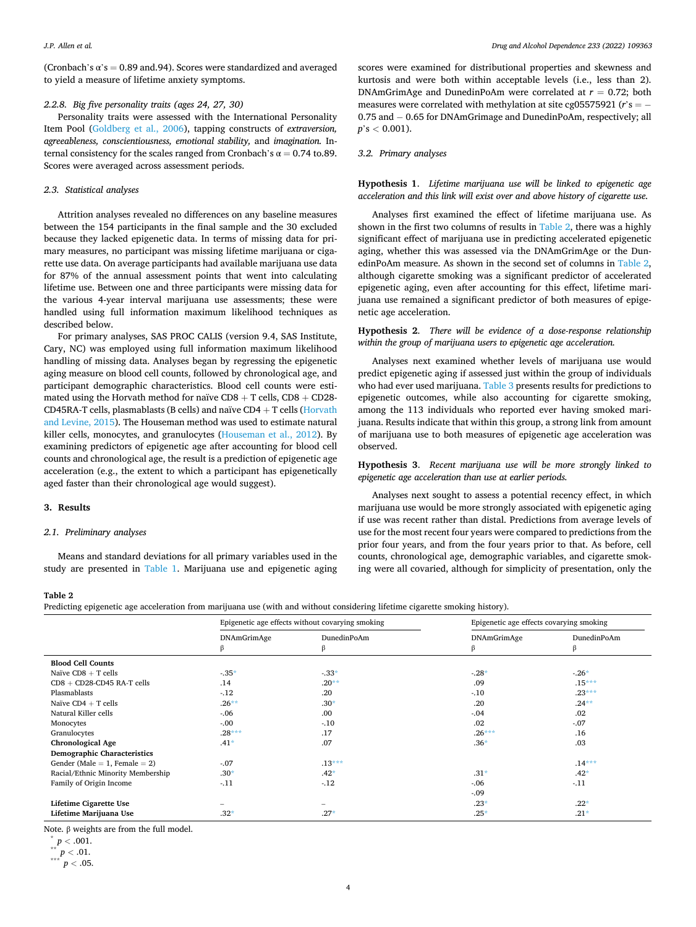<span id="page-3-0"></span>(Cronbach's  $\alpha$ 's = 0.89 and.94). Scores were standardized and averaged to yield a measure of lifetime anxiety symptoms.

#### *2.2.8. Big five personality traits (ages 24, 27, 30)*

Personality traits were assessed with the International Personality Item Pool [\(Goldberg et al., 2006](#page-6-0)), tapping constructs of *extraversion, agreeableness, conscientiousness, emotional stability,* and *imagination.* Internal consistency for the scales ranged from Cronbach's  $\alpha = 0.74$  to.89. Scores were averaged across assessment periods.

## *2.3. Statistical analyses*

Attrition analyses revealed no differences on any baseline measures between the 154 participants in the final sample and the 30 excluded because they lacked epigenetic data. In terms of missing data for primary measures, no participant was missing lifetime marijuana or cigarette use data. On average participants had available marijuana use data for 87% of the annual assessment points that went into calculating lifetime use. Between one and three participants were missing data for the various 4-year interval marijuana use assessments; these were handled using full information maximum likelihood techniques as described below.

For primary analyses, SAS PROC CALIS (version 9.4, SAS Institute, Cary, NC) was employed using full information maximum likelihood handling of missing data. Analyses began by regressing the epigenetic aging measure on blood cell counts, followed by chronological age, and participant demographic characteristics. Blood cell counts were estimated using the Horvath method for naïve  $CDS + T$  cells,  $CDS + CD28$ -CD45RA-T cells, plasmablasts (B cells) and naïve  $CD4 + T$  cells (Horvath [and Levine, 2015](#page-6-0)). The Houseman method was used to estimate natural killer cells, monocytes, and granulocytes ([Houseman et al., 2012](#page-6-0)). By examining predictors of epigenetic age after accounting for blood cell counts and chronological age, the result is a prediction of epigenetic age acceleration (e.g., the extent to which a participant has epigenetically aged faster than their chronological age would suggest).

#### **3. Results**

#### *2.1. Preliminary analyses*

Means and standard deviations for all primary variables used in the study are presented in [Table 1.](#page-2-0) Marijuana use and epigenetic aging scores were examined for distributional properties and skewness and kurtosis and were both within acceptable levels (i.e., less than 2). DNAmGrimAge and DunedinPoAm were correlated at  $r = 0.72$ ; both measures were correlated with methylation at site cg05575921 (*r*'s = − 0.75 and − 0.65 for DNAmGrimage and DunedinPoAm, respectively; all *p*'s *<* 0.001).

#### *3.2. Primary analyses*

**Hypothesis 1**. *Lifetime marijuana use will be linked to epigenetic age acceleration and this link will exist over and above history of cigarette use.* 

Analyses first examined the effect of lifetime marijuana use. As shown in the first two columns of results in Table 2, there was a highly significant effect of marijuana use in predicting accelerated epigenetic aging, whether this was assessed via the DNAmGrimAge or the DunedinPoAm measure. As shown in the second set of columns in Table 2, although cigarette smoking was a significant predictor of accelerated epigenetic aging, even after accounting for this effect, lifetime marijuana use remained a significant predictor of both measures of epigenetic age acceleration.

# **Hypothesis 2**. *There will be evidence of a dose-response relationship within the group of marijuana users to epigenetic age acceleration.*

Analyses next examined whether levels of marijuana use would predict epigenetic aging if assessed just within the group of individuals who had ever used marijuana. [Table 3](#page-4-0) presents results for predictions to epigenetic outcomes, while also accounting for cigarette smoking, among the 113 individuals who reported ever having smoked marijuana. Results indicate that within this group, a strong link from amount of marijuana use to both measures of epigenetic age acceleration was observed.

**Hypothesis 3**. *Recent marijuana use will be more strongly linked to epigenetic age acceleration than use at earlier periods.* 

Analyses next sought to assess a potential recency effect, in which marijuana use would be more strongly associated with epigenetic aging if use was recent rather than distal. Predictions from average levels of use for the most recent four years were compared to predictions from the prior four years, and from the four years prior to that. As before, cell counts, chronological age, demographic variables, and cigarette smoking were all covaried, although for simplicity of presentation, only the

# **Table 2**

Predicting epigenetic age acceleration from marijuana use (with and without considering lifetime cigarette smoking history).

|                                    | Epigenetic age effects without covarying smoking |                          | Epigenetic age effects covarying smoking |                  |
|------------------------------------|--------------------------------------------------|--------------------------|------------------------------------------|------------------|
|                                    | <b>DNAmGrimAge</b><br>B.                         | DunedinPoAm<br>β         | DNAmGrimAge<br>B                         | DunedinPoAm<br>β |
| <b>Blood Cell Counts</b>           |                                                  |                          |                                          |                  |
| Naïve $CDS + T$ cells              | $-.35*$                                          | $-33*$                   | $-28*$                                   | $-26*$           |
| $CD8 + CD28$ -CD45 RA-T cells      | .14                                              | $.20**$                  | .09                                      | $.15***$         |
| Plasmablasts                       | $-12$                                            | .20                      | $-10$                                    | $.23***$         |
| Naïve $CD4 + T$ cells              | $.26***$                                         | $.30*$                   | .20                                      | $.24**$          |
| Natural Killer cells               | $-.06$                                           | .00                      | $-.04$                                   | .02              |
| Monocytes                          | $-.00$                                           | $-10$                    | .02                                      | $-.07$           |
| Granulocytes                       | $.28***$                                         | .17                      | $.26***$                                 | .16              |
| <b>Chronological Age</b>           | $.41*$                                           | .07                      | $.36*$                                   | .03              |
| <b>Demographic Characteristics</b> |                                                  |                          |                                          |                  |
| Gender (Male = 1, Female = 2)      | $-.07$                                           | $.13***$                 |                                          | $.14***$         |
| Racial/Ethnic Minority Membership  | $.30*$                                           | $.42*$                   | $.31*$                                   | $.42*$           |
| Family of Origin Income            | $-.11$                                           | $-12$                    | $-0.06$                                  | $-.11$           |
|                                    |                                                  |                          | $-0.09$                                  |                  |
| Lifetime Cigarette Use             |                                                  | $\overline{\phantom{0}}$ | $.23*$                                   | $.22*$           |
| Lifetime Marijuana Use             | $.32*$                                           | $.27*$                   | $.25*$                                   | $.21*$           |

Note. <sup>β</sup>weights are from the full model. \* *<sup>p</sup><sup>&</sup>lt;* .001. \*\* *<sup>p</sup><sup>&</sup>lt;* .01. \*\*\* *<sup>p</sup><sup>&</sup>lt;* .05.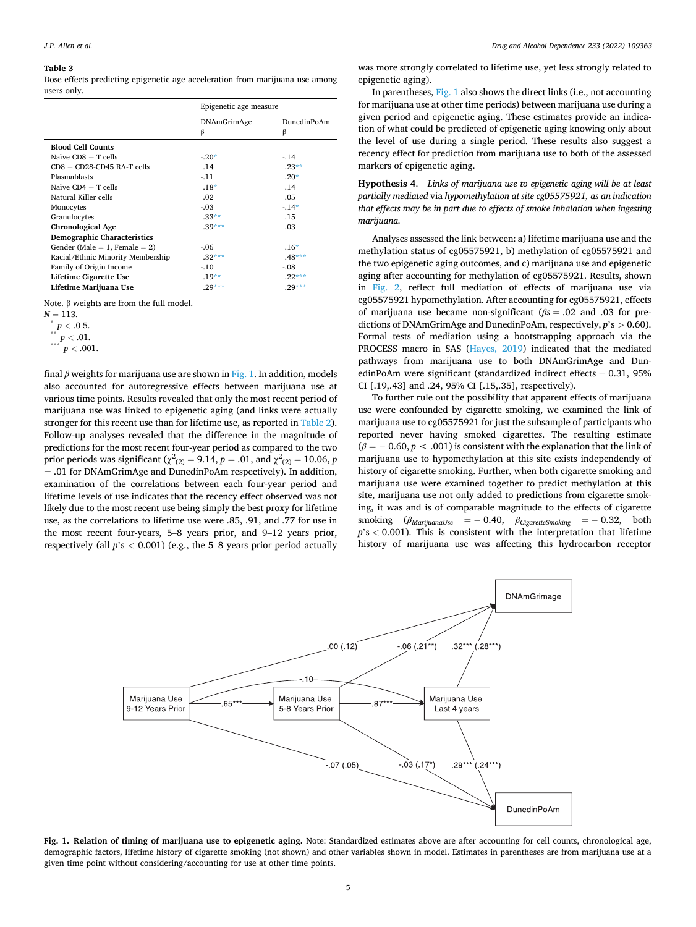#### <span id="page-4-0"></span>**Table 3**

Dose effects predicting epigenetic age acceleration from marijuana use among users only.

|                                     | Epigenetic age measure |                  |
|-------------------------------------|------------------------|------------------|
|                                     | DNAmGrimAge<br>β       | DunedinPoAm<br>β |
| <b>Blood Cell Counts</b>            |                        |                  |
| Naïve $CDS + T$ cells               | $-20*$                 | $-.14$           |
| $CD8 + CD28$ -CD45 RA-T cells       | .14                    | $.23**$          |
| Plasmablasts                        | $-11$                  | $.20*$           |
| Naïve $CD4 + T$ cells               | $.18*$                 | .14              |
| Natural Killer cells                | .02                    | .05              |
| Monocytes                           | $-.03$                 | $-14*$           |
| Granulocytes                        | $.33**$                | .15              |
| <b>Chronological Age</b>            | $.39***$               | .03              |
| <b>Demographic Characteristics</b>  |                        |                  |
| Gender (Male $= 1$ , Female $= 2$ ) | $-0.06$                | $.16*$           |
| Racial/Ethnic Minority Membership   | $.32***$               | $.48***$         |
| Family of Origin Income             | $-10$                  | $-0.08$          |
| Lifetime Cigarette Use              | $.19**$                | $.22***$         |
| Lifetime Marijuana Use              | $.29***$               | $.29***$         |

Note. β weights are from the full model.

*<sup>N</sup>*<sup>=</sup> 113. \* *<sup>p</sup><sup>&</sup>lt;* .0 5. \*\* *<sup>p</sup><sup>&</sup>lt;* .01. \*\*\* *<sup>p</sup><sup>&</sup>lt;* .001.

final *β* weights for marijuana use are shown in Fig. 1. In addition, models also accounted for autoregressive effects between marijuana use at various time points. Results revealed that only the most recent period of marijuana use was linked to epigenetic aging (and links were actually stronger for this recent use than for lifetime use, as reported in [Table 2](#page-3-0)). Follow-up analyses revealed that the difference in the magnitude of predictions for the most recent four-year period as compared to the two prior periods was significant ( $\chi^2_{(2)} = 9.14$ ,  $p = .01$ , and  $\chi^2_{(2)} = 10.06$ ,  $p$ = .01 for DNAmGrimAge and DunedinPoAm respectively). In addition, examination of the correlations between each four-year period and lifetime levels of use indicates that the recency effect observed was not likely due to the most recent use being simply the best proxy for lifetime use, as the correlations to lifetime use were .85, .91, and .77 for use in the most recent four-years, 5–8 years prior, and 9–12 years prior, respectively (all *p*'s *<* 0.001) (e.g., the 5–8 years prior period actually

was more strongly correlated to lifetime use, yet less strongly related to epigenetic aging).

In parentheses, Fig. 1 also shows the direct links (i.e., not accounting for marijuana use at other time periods) between marijuana use during a given period and epigenetic aging. These estimates provide an indication of what could be predicted of epigenetic aging knowing only about the level of use during a single period. These results also suggest a recency effect for prediction from marijuana use to both of the assessed markers of epigenetic aging.

**Hypothesis 4**. *Links of marijuana use to epigenetic aging will be at least partially mediated* via *hypomethylation at site cg05575921, as an indication that effects may be in part due to effects of smoke inhalation when ingesting marijuana.* 

Analyses assessed the link between: a) lifetime marijuana use and the methylation status of cg05575921, b) methylation of cg05575921 and the two epigenetic aging outcomes, and c) marijuana use and epigenetic aging after accounting for methylation of cg05575921. Results, shown in [Fig. 2](#page-5-0), reflect full mediation of effects of marijuana use via cg05575921 hypomethylation. After accounting for cg05575921, effects of marijuana use became non-significant (*βs* = .02 and .03 for predictions of DNAmGrimAge and DunedinPoAm, respectively, *p*'s *>* 0.60). Formal tests of mediation using a bootstrapping approach via the PROCESS macro in SAS [\(Hayes, 2019\)](#page-6-0) indicated that the mediated pathways from marijuana use to both DNAmGrimAge and DunedinPoAm were significant (standardized indirect effects = 0.31, 95% CI [.19,.43] and .24, 95% CI [.15,.35], respectively).

To further rule out the possibility that apparent effects of marijuana use were confounded by cigarette smoking, we examined the link of marijuana use to cg05575921 for just the subsample of participants who reported never having smoked cigarettes. The resulting estimate  $(\beta = -0.60, p < .001)$  is consistent with the explanation that the link of marijuana use to hypomethylation at this site exists independently of history of cigarette smoking. Further, when both cigarette smoking and marijuana use were examined together to predict methylation at this site, marijuana use not only added to predictions from cigarette smoking, it was and is of comparable magnitude to the effects of cigarette smoking (*βMarijuanaUse* = − 0.40, *βCigaretteSmoking* = − 0.32, both *p*'s *<* 0.001). This is consistent with the interpretation that lifetime history of marijuana use was affecting this hydrocarbon receptor



**Fig. 1. Relation of timing of marijuana use to epigenetic aging.** Note: Standardized estimates above are after accounting for cell counts, chronological age, demographic factors, lifetime history of cigarette smoking (not shown) and other variables shown in model. Estimates in parentheses are from marijuana use at a given time point without considering/accounting for use at other time points.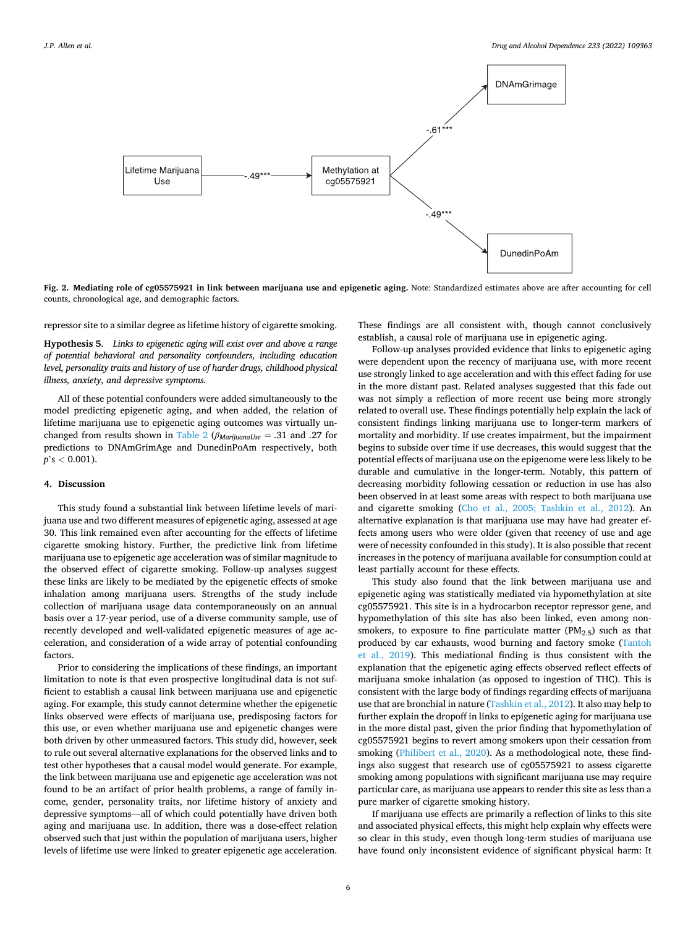<span id="page-5-0"></span>

**Fig. 2. Mediating role of cg05575921 in link between marijuana use and epigenetic aging.** Note: Standardized estimates above are after accounting for cell counts, chronological age, and demographic factors.

repressor site to a similar degree as lifetime history of cigarette smoking.

**Hypothesis 5**. *Links to epigenetic aging will exist over and above a range of potential behavioral and personality confounders, including education level, personality traits and history of use of harder drugs, childhood physical illness, anxiety, and depressive symptoms.* 

All of these potential confounders were added simultaneously to the model predicting epigenetic aging, and when added, the relation of lifetime marijuana use to epigenetic aging outcomes was virtually unchanged from results shown in [Table 2](#page-3-0) (*βMarijuanaUse* = .31 and .27 for predictions to DNAmGrimAge and DunedinPoAm respectively, both *p*'s *<* 0.001).

#### **4. Discussion**

This study found a substantial link between lifetime levels of marijuana use and two different measures of epigenetic aging, assessed at age 30. This link remained even after accounting for the effects of lifetime cigarette smoking history. Further, the predictive link from lifetime marijuana use to epigenetic age acceleration was of similar magnitude to the observed effect of cigarette smoking. Follow-up analyses suggest these links are likely to be mediated by the epigenetic effects of smoke inhalation among marijuana users. Strengths of the study include collection of marijuana usage data contemporaneously on an annual basis over a 17-year period, use of a diverse community sample, use of recently developed and well-validated epigenetic measures of age acceleration, and consideration of a wide array of potential confounding factors.

Prior to considering the implications of these findings, an important limitation to note is that even prospective longitudinal data is not sufficient to establish a causal link between marijuana use and epigenetic aging. For example, this study cannot determine whether the epigenetic links observed were effects of marijuana use, predisposing factors for this use, or even whether marijuana use and epigenetic changes were both driven by other unmeasured factors. This study did, however, seek to rule out several alternative explanations for the observed links and to test other hypotheses that a causal model would generate. For example, the link between marijuana use and epigenetic age acceleration was not found to be an artifact of prior health problems, a range of family income, gender, personality traits, nor lifetime history of anxiety and depressive symptoms—all of which could potentially have driven both aging and marijuana use. In addition, there was a dose-effect relation observed such that just within the population of marijuana users, higher levels of lifetime use were linked to greater epigenetic age acceleration.

These findings are all consistent with, though cannot conclusively establish, a causal role of marijuana use in epigenetic aging.

Follow-up analyses provided evidence that links to epigenetic aging were dependent upon the recency of marijuana use, with more recent use strongly linked to age acceleration and with this effect fading for use in the more distant past. Related analyses suggested that this fade out was not simply a reflection of more recent use being more strongly related to overall use. These findings potentially help explain the lack of consistent findings linking marijuana use to longer-term markers of mortality and morbidity. If use creates impairment, but the impairment begins to subside over time if use decreases, this would suggest that the potential effects of marijuana use on the epigenome were less likely to be durable and cumulative in the longer-term. Notably, this pattern of decreasing morbidity following cessation or reduction in use has also been observed in at least some areas with respect to both marijuana use and cigarette smoking [\(Cho et al., 2005; Tashkin et al., 2012](#page-6-0)). An alternative explanation is that marijuana use may have had greater effects among users who were older (given that recency of use and age were of necessity confounded in this study). It is also possible that recent increases in the potency of marijuana available for consumption could at least partially account for these effects.

This study also found that the link between marijuana use and epigenetic aging was statistically mediated via hypomethylation at site cg05575921. This site is in a hydrocarbon receptor repressor gene, and hypomethylation of this site has also been linked, even among nonsmokers, to exposure to fine particulate matter  $(PM<sub>2.5</sub>)$  such as that produced by car exhausts, wood burning and factory smoke ([Tantoh](#page-7-0)  [et al., 2019](#page-7-0)). This mediational finding is thus consistent with the explanation that the epigenetic aging effects observed reflect effects of marijuana smoke inhalation (as opposed to ingestion of THC). This is consistent with the large body of findings regarding effects of marijuana use that are bronchial in nature [\(Tashkin et al., 2012\)](#page-7-0). It also may help to further explain the dropoff in links to epigenetic aging for marijuana use in the more distal past, given the prior finding that hypomethylation of cg05575921 begins to revert among smokers upon their cessation from smoking [\(Philibert et al., 2020](#page-7-0)). As a methodological note, these findings also suggest that research use of cg05575921 to assess cigarette smoking among populations with significant marijuana use may require particular care, as marijuana use appears to render this site as less than a pure marker of cigarette smoking history.

If marijuana use effects are primarily a reflection of links to this site and associated physical effects, this might help explain why effects were so clear in this study, even though long-term studies of marijuana use have found only inconsistent evidence of significant physical harm: It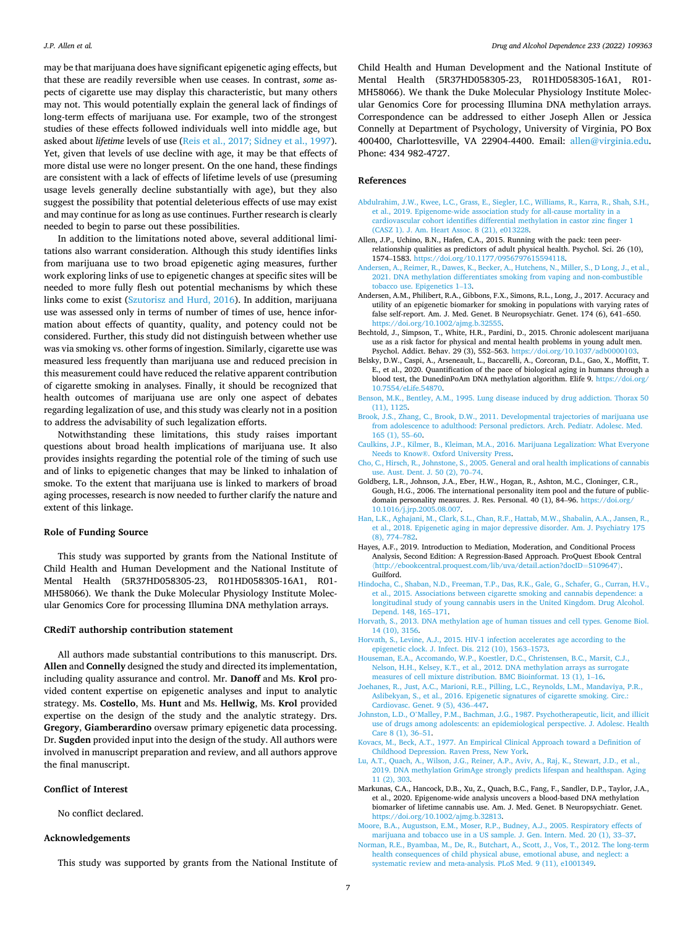<span id="page-6-0"></span>may be that marijuana does have significant epigenetic aging effects, but that these are readily reversible when use ceases. In contrast, *some* aspects of cigarette use may display this characteristic, but many others may not. This would potentially explain the general lack of findings of long-term effects of marijuana use. For example, two of the strongest studies of these effects followed individuals well into middle age, but asked about *lifetime* levels of use ([Reis et al., 2017; Sidney et al., 1997](#page-7-0)). Yet, given that levels of use decline with age, it may be that effects of more distal use were no longer present. On the one hand, these findings are consistent with a lack of effects of lifetime levels of use (presuming usage levels generally decline substantially with age), but they also suggest the possibility that potential deleterious effects of use may exist and may continue for as long as use continues. Further research is clearly needed to begin to parse out these possibilities.

In addition to the limitations noted above, several additional limitations also warrant consideration. Although this study identifies links from marijuana use to two broad epigenetic aging measures, further work exploring links of use to epigenetic changes at specific sites will be needed to more fully flesh out potential mechanisms by which these links come to exist ([Szutorisz and Hurd, 2016\)](#page-7-0). In addition, marijuana use was assessed only in terms of number of times of use, hence information about effects of quantity, quality, and potency could not be considered. Further, this study did not distinguish between whether use was via smoking vs. other forms of ingestion. Similarly, cigarette use was measured less frequently than marijuana use and reduced precision in this measurement could have reduced the relative apparent contribution of cigarette smoking in analyses. Finally, it should be recognized that health outcomes of marijuana use are only one aspect of debates regarding legalization of use, and this study was clearly not in a position to address the advisability of such legalization efforts.

Notwithstanding these limitations, this study raises important questions about broad health implications of marijuana use. It also provides insights regarding the potential role of the timing of such use and of links to epigenetic changes that may be linked to inhalation of smoke. To the extent that marijuana use is linked to markers of broad aging processes, research is now needed to further clarify the nature and extent of this linkage.

#### **Role of Funding Source**

This study was supported by grants from the National Institute of Child Health and Human Development and the National Institute of Mental Health (5R37HD058305-23, R01HD058305-16A1, R01- MH58066). We thank the Duke Molecular Physiology Institute Molecular Genomics Core for processing Illumina DNA methylation arrays.

### **CRediT authorship contribution statement**

All authors made substantial contributions to this manuscript. Drs. **Allen** and **Connelly** designed the study and directed its implementation, including quality assurance and control. Mr. **Danoff** and Ms. **Krol** provided content expertise on epigenetic analyses and input to analytic strategy. Ms. **Costello**, Ms. **Hunt** and Ms. **Hellwig**, Ms. **Krol** provided expertise on the design of the study and the analytic strategy. Drs. **Gregory**, **Giamberardino** oversaw primary epigenetic data processing. Dr. **Sugden** provided input into the design of the study. All authors were involved in manuscript preparation and review, and all authors approve the final manuscript.

#### **Conflict of Interest**

No conflict declared.

#### **Acknowledgements**

This study was supported by grants from the National Institute of

Child Health and Human Development and the National Institute of Mental Health (5R37HD058305-23, R01HD058305-16A1, R01- MH58066). We thank the Duke Molecular Physiology Institute Molecular Genomics Core for processing Illumina DNA methylation arrays. Correspondence can be addressed to either Joseph Allen or Jessica Connelly at Department of Psychology, University of Virginia, PO Box 400400, Charlottesville, VA 22904-4400. Email: [allen@virginia.edu](http://allen@virginia.edu). Phone: 434 982-4727.

#### **References**

- [Abdulrahim, J.W., Kwee, L.C., Grass, E., Siegler, I.C., Williams, R., Karra, R., Shah, S.H.,](http://refhub.elsevier.com/S0376-8716(22)00100-4/sbref1)  [et al., 2019. Epigenome-wide association study for all-cause mortality in a](http://refhub.elsevier.com/S0376-8716(22)00100-4/sbref1)  [cardiovascular cohort identifies differential methylation in castor zinc finger 1](http://refhub.elsevier.com/S0376-8716(22)00100-4/sbref1) [\(CASZ 1\). J. Am. Heart Assoc. 8 \(21\), e013228.](http://refhub.elsevier.com/S0376-8716(22)00100-4/sbref1)
- Allen, J.P., Uchino, B.N., Hafen, C.A., 2015. Running with the pack: teen peerrelationship qualities as predictors of adult physical health. Psychol. Sci. 26 (10), 1574–1583. [https://doi.org/10.1177/0956797615594118.](https://doi.org/10.1177/0956797615594118)
- [Andersen, A., Reimer, R., Dawes, K., Becker, A., Hutchens, N., Miller, S., D Long, J., et al.,](http://refhub.elsevier.com/S0376-8716(22)00100-4/sbref3)  [2021. DNA methylation differentiates smoking from vaping and non-combustible](http://refhub.elsevier.com/S0376-8716(22)00100-4/sbref3)  [tobacco use. Epigenetics 1](http://refhub.elsevier.com/S0376-8716(22)00100-4/sbref3)–13.
- Andersen, A.M., Philibert, R.A., Gibbons, F.X., Simons, R.L., Long, J., 2017. Accuracy and utility of an epigenetic biomarker for smoking in populations with varying rates of false self-report. Am. J. Med. Genet. B Neuropsychiatr. Genet. 174 (6), 641–650. <https://doi.org/10.1002/ajmg.b.32555>.
- Bechtold, J., Simpson, T., White, H.R., Pardini, D., 2015. Chronic adolescent marijuana use as a risk factor for physical and mental health problems in young adult men. Psychol. Addict. Behav. 29 (3), 552–563. <https://doi.org/10.1037/adb0000103>.
- Belsky, D.W., Caspi, A., Arseneault, L., Baccarelli, A., Corcoran, D.L., Gao, X., Moffitt, T. E., et al., 2020. Quantification of the pace of biological aging in humans through a blood test, the DunedinPoAm DNA methylation algorithm. Elife 9. [https://doi.org/](https://doi.org/10.7554/eLife.54870) [10.7554/eLife.54870](https://doi.org/10.7554/eLife.54870).
- [Benson, M.K., Bentley, A.M., 1995. Lung disease induced by drug addiction. Thorax 50](http://refhub.elsevier.com/S0376-8716(22)00100-4/sbref7) [\(11\), 1125.](http://refhub.elsevier.com/S0376-8716(22)00100-4/sbref7)
- [Brook, J.S., Zhang, C., Brook, D.W., 2011. Developmental trajectories of marijuana use](http://refhub.elsevier.com/S0376-8716(22)00100-4/sbref8) [from adolescence to adulthood: Personal predictors. Arch. Pediatr. Adolesc. Med.](http://refhub.elsevier.com/S0376-8716(22)00100-4/sbref8) [165 \(1\), 55](http://refhub.elsevier.com/S0376-8716(22)00100-4/sbref8)–60.
- [Caulkins, J.P., Kilmer, B., Kleiman, M.A., 2016. Marijuana Legalization: What Everyone](http://refhub.elsevier.com/S0376-8716(22)00100-4/sbref9)  Needs to Know®[. Oxford University Press.](http://refhub.elsevier.com/S0376-8716(22)00100-4/sbref9)
- [Cho, C., Hirsch, R., Johnstone, S., 2005. General and oral health implications of cannabis](http://refhub.elsevier.com/S0376-8716(22)00100-4/sbref10)  [use. Aust. Dent. J. 50 \(2\), 70](http://refhub.elsevier.com/S0376-8716(22)00100-4/sbref10)–74.
- Goldberg, L.R., Johnson, J.A., Eber, H.W., Hogan, R., Ashton, M.C., Cloninger, C.R., Gough, H.G., 2006. The international personality item pool and the future of publicdomain personality measures. J. Res. Personal. 40 (1), 84–96. [https://doi.org/](https://doi.org/10.1016/j.jrp.2005.08.007)  [10.1016/j.jrp.2005.08.007](https://doi.org/10.1016/j.jrp.2005.08.007).
- [Han, L.K., Aghajani, M., Clark, S.L., Chan, R.F., Hattab, M.W., Shabalin, A.A., Jansen, R.,](http://refhub.elsevier.com/S0376-8716(22)00100-4/sbref12)  [et al., 2018. Epigenetic aging in major depressive disorder. Am. J. Psychiatry 175](http://refhub.elsevier.com/S0376-8716(22)00100-4/sbref12) [\(8\), 774](http://refhub.elsevier.com/S0376-8716(22)00100-4/sbref12)–782.
- Hayes, A.F., 2019. Introduction to Mediation, Moderation, and Conditional Process Analysis, Second Edition: A Regression-Based Approach. ProQuest Ebook Central 〈[http://ebookcentral.proquest.com/lib/uva/detail.action?docID](http://ebookcentral.proquest.com/lib/uva/detail.action?docID=5109647)=5109647〉. Guilford.
- [Hindocha, C., Shaban, N.D., Freeman, T.P., Das, R.K., Gale, G., Schafer, G., Curran, H.V.,](http://refhub.elsevier.com/S0376-8716(22)00100-4/sbref13)  [et al., 2015. Associations between cigarette smoking and cannabis dependence: a](http://refhub.elsevier.com/S0376-8716(22)00100-4/sbref13) [longitudinal study of young cannabis users in the United Kingdom. Drug Alcohol.](http://refhub.elsevier.com/S0376-8716(22)00100-4/sbref13)  [Depend. 148, 165](http://refhub.elsevier.com/S0376-8716(22)00100-4/sbref13)–171.
- [Horvath, S., 2013. DNA methylation age of human tissues and cell types. Genome Biol.](http://refhub.elsevier.com/S0376-8716(22)00100-4/sbref14)  [14 \(10\), 3156](http://refhub.elsevier.com/S0376-8716(22)00100-4/sbref14).
- [Horvath, S., Levine, A.J., 2015. HIV-1 infection accelerates age according to the](http://refhub.elsevier.com/S0376-8716(22)00100-4/sbref15) [epigenetic clock. J. Infect. Dis. 212 \(10\), 1563](http://refhub.elsevier.com/S0376-8716(22)00100-4/sbref15)–1573.
- [Houseman, E.A., Accomando, W.P., Koestler, D.C., Christensen, B.C., Marsit, C.J.,](http://refhub.elsevier.com/S0376-8716(22)00100-4/sbref16)  [Nelson, H.H., Kelsey, K.T., et al., 2012. DNA methylation arrays as surrogate](http://refhub.elsevier.com/S0376-8716(22)00100-4/sbref16) [measures of cell mixture distribution. BMC Bioinformat. 13 \(1\), 1](http://refhub.elsevier.com/S0376-8716(22)00100-4/sbref16)–16.
- [Joehanes, R., Just, A.C., Marioni, R.E., Pilling, L.C., Reynolds, L.M., Mandaviya, P.R.,](http://refhub.elsevier.com/S0376-8716(22)00100-4/sbref17) [Aslibekyan, S., et al., 2016. Epigenetic signatures of cigarette smoking. Circ.:](http://refhub.elsevier.com/S0376-8716(22)00100-4/sbref17) [Cardiovasc. Genet. 9 \(5\), 436](http://refhub.elsevier.com/S0376-8716(22)00100-4/sbref17)–447.
- Johnston, L.D., O'[Malley, P.M., Bachman, J.G., 1987. Psychotherapeutic, licit, and illicit](http://refhub.elsevier.com/S0376-8716(22)00100-4/sbref18)  [use of drugs among adolescents: an epidemiological perspective. J. Adolesc. Health](http://refhub.elsevier.com/S0376-8716(22)00100-4/sbref18)  [Care 8 \(1\), 36](http://refhub.elsevier.com/S0376-8716(22)00100-4/sbref18)–51.
- [Kovacs, M., Beck, A.T., 1977. An Empirical Clinical Approach toward a Definition of](http://refhub.elsevier.com/S0376-8716(22)00100-4/sbref19) [Childhood Depression. Raven Press, New York.](http://refhub.elsevier.com/S0376-8716(22)00100-4/sbref19)
- [Lu, A.T., Quach, A., Wilson, J.G., Reiner, A.P., Aviv, A., Raj, K., Stewart, J.D., et al.,](http://refhub.elsevier.com/S0376-8716(22)00100-4/sbref20)  [2019. DNA methylation GrimAge strongly predicts lifespan and healthspan. Aging](http://refhub.elsevier.com/S0376-8716(22)00100-4/sbref20) [11 \(2\), 303.](http://refhub.elsevier.com/S0376-8716(22)00100-4/sbref20)
- Markunas, C.A., Hancock, D.B., Xu, Z., Quach, B.C., Fang, F., Sandler, D.P., Taylor, J.A., et al., 2020. Epigenome-wide analysis uncovers a blood-based DNA methylation biomarker of lifetime cannabis use. Am. J. Med. Genet. B Neuropsychiatr. Genet. <https://doi.org/10.1002/ajmg.b.32813>.
- [Moore, B.A., Augustson, E.M., Moser, R.P., Budney, A.J., 2005. Respiratory effects of](http://refhub.elsevier.com/S0376-8716(22)00100-4/sbref22) [marijuana and tobacco use in a US sample. J. Gen. Intern. Med. 20 \(1\), 33](http://refhub.elsevier.com/S0376-8716(22)00100-4/sbref22)–37.
- [Norman, R.E., Byambaa, M., De, R., Butchart, A., Scott, J., Vos, T., 2012. The long-term](http://refhub.elsevier.com/S0376-8716(22)00100-4/sbref23)  [health consequences of child physical abuse, emotional abuse, and neglect: a](http://refhub.elsevier.com/S0376-8716(22)00100-4/sbref23) [systematic review and meta-analysis. PLoS Med. 9 \(11\), e1001349](http://refhub.elsevier.com/S0376-8716(22)00100-4/sbref23).